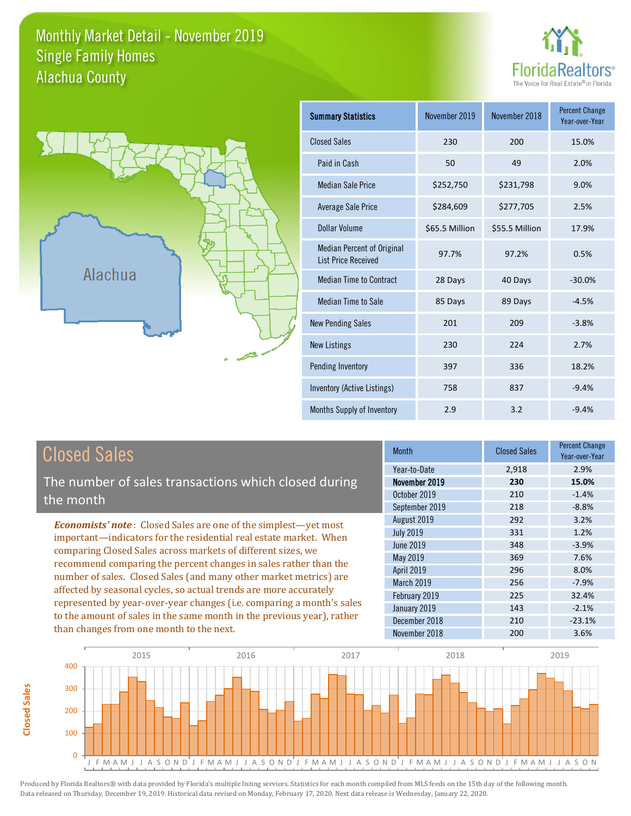### Monthly Market Detail - November 2019 Alachua County Single Family Homes





**Closed Sales**

**Closed Sales** 

| <b>Summary Statistics</b>                                       | November 2019  | November 2018  | <b>Percent Change</b><br>Year-over-Year |
|-----------------------------------------------------------------|----------------|----------------|-----------------------------------------|
| <b>Closed Sales</b>                                             | 230            | 200            | 15.0%                                   |
| Paid in Cash                                                    | 50             | 49             | 2.0%                                    |
| <b>Median Sale Price</b>                                        | \$252,750      | \$231,798      | 9.0%                                    |
| <b>Average Sale Price</b>                                       | \$284,609      | \$277,705      | 2.5%                                    |
| Dollar Volume                                                   | \$65.5 Million | \$55.5 Million | 17.9%                                   |
| <b>Median Percent of Original</b><br><b>List Price Received</b> | 97.7%          | 97.2%          | 0.5%                                    |
| <b>Median Time to Contract</b>                                  | 28 Days        | 40 Days        | $-30.0%$                                |
| <b>Median Time to Sale</b>                                      | 85 Days        | 89 Days        | $-4.5%$                                 |
| <b>New Pending Sales</b>                                        | 201            | 209            | $-3.8%$                                 |
| <b>New Listings</b>                                             | 230            | 224            | 2.7%                                    |
| Pending Inventory                                               | 397            | 336            | 18.2%                                   |
| Inventory (Active Listings)                                     | 758            | 837            | $-9.4%$                                 |
| Months Supply of Inventory                                      | 2.9            | 3.2            | $-9.4%$                                 |

| <b>Closed Sales</b>                                                                                                                    | <b>Month</b>      | <b>Closed Sales</b> | <b>Percent Change</b><br>Year-over-Year |
|----------------------------------------------------------------------------------------------------------------------------------------|-------------------|---------------------|-----------------------------------------|
|                                                                                                                                        | Year-to-Date      | 2,918               | 2.9%                                    |
| The number of sales transactions which closed during                                                                                   | November 2019     | 230                 | 15.0%                                   |
| the month                                                                                                                              | October 2019      | 210                 | $-1.4%$                                 |
|                                                                                                                                        | September 2019    | 218                 | $-8.8%$                                 |
| <b>Economists' note:</b> Closed Sales are one of the simplest—yet most                                                                 | August 2019       | 292                 | 3.2%                                    |
| important—indicators for the residential real estate market. When                                                                      | <b>July 2019</b>  | 331                 | 1.2%                                    |
| comparing Closed Sales across markets of different sizes, we                                                                           | June 2019         | 348                 | $-3.9%$                                 |
|                                                                                                                                        | May 2019          | 369                 | 7.6%                                    |
| recommend comparing the percent changes in sales rather than the                                                                       | <b>April 2019</b> | 296                 | 8.0%                                    |
| number of sales. Closed Sales (and many other market metrics) are<br>affected by seasonal cycles, so actual trends are more accurately | March 2019        | 256                 | $-7.9%$                                 |
|                                                                                                                                        | February 2019     | 225                 | 32.4%                                   |
| represented by year-over-year changes (i.e. comparing a month's sales                                                                  | January 2019      | 143                 | $-2.1%$                                 |
| to the amount of sales in the same month in the previous year), rather                                                                 | December 2018     | 210                 | $-23.1%$                                |
| than changes from one month to the next.                                                                                               | November 2018     | 200                 | 3.6%                                    |

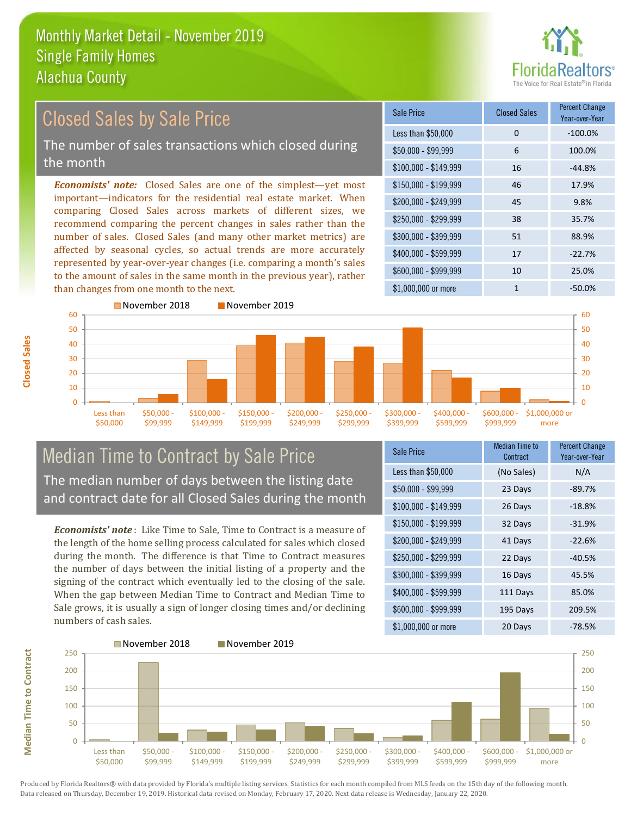

#### $$100,000 - $149,999$  16  $-44.8\%$ Sale Price Closed Sales Percent Change Year-over-Year Less than \$50,000 0 0 -100.0% \$50,000 - \$99,999 6 100.0% \$150,000 - \$199,999 46 17.9% \$200,000 - \$249,999 45 9.8% \$400,000 - \$599,999 17 -22.7% \$600,000 - \$999,999 10 25.0% *Economists' note:* Closed Sales are one of the simplest—yet most important—indicators for the residential real estate market. When comparing Closed Sales across markets of different sizes, we recommend comparing the percent changes in sales rather than the number of sales. Closed Sales (and many other market metrics) are affected by seasonal cycles, so actual trends are more accurately represented by year-over-year changes (i.e. comparing a month's sales to the amount of sales in the same month in the previous year), rather than changes from one month to the next. \$1,000,000 or more 1  $-50.0\%$ \$250,000 - \$299,999 38 35.7% \$300,000 - \$399,999 51 88.9% 50 60 November 2018 November 2019 50 60 Closed Sales by Sale Price The number of sales transactions which closed during the month



### Median Time to Contract by Sale Price The median number of days between the listing date and contract date for all Closed Sales during the month

*Economists' note* : Like Time to Sale, Time to Contract is a measure of the length of the home selling process calculated for sales which closed during the month. The difference is that Time to Contract measures the number of days between the initial listing of a property and the signing of the contract which eventually led to the closing of the sale. When the gap between Median Time to Contract and Median Time to Sale grows, it is usually a sign of longer closing times and/or declining numbers of cash sales.

| Sale Price            | <b>Median Time to</b><br>Contract | <b>Percent Change</b><br>Year-over-Year |
|-----------------------|-----------------------------------|-----------------------------------------|
| Less than \$50,000    | (No Sales)                        | N/A                                     |
| $$50,000 - $99,999$   | 23 Days                           | $-89.7%$                                |
| $$100,000 - $149,999$ | 26 Days                           | $-18.8%$                                |
| $$150,000 - $199,999$ | 32 Days                           | $-31.9%$                                |
| \$200,000 - \$249,999 | 41 Days                           | $-22.6%$                                |
| \$250,000 - \$299,999 | 22 Days                           | $-40.5%$                                |
| \$300,000 - \$399,999 | 16 Days                           | 45.5%                                   |
| \$400,000 - \$599,999 | 111 Days                          | 85.0%                                   |
| \$600,000 - \$999,999 | 195 Days                          | 209.5%                                  |
| $$1,000,000$ or more  | 20 Days                           | $-78.5%$                                |

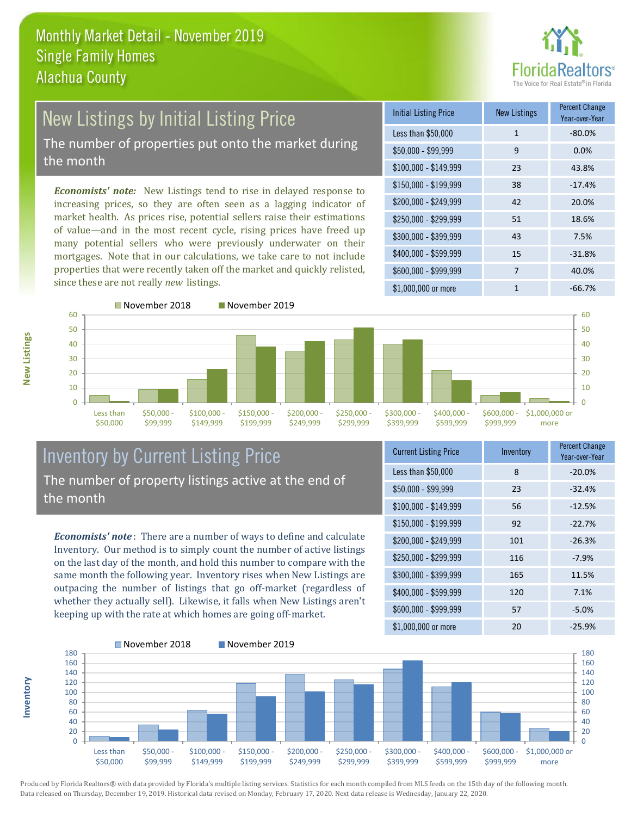

#### New Listings by Initial Listing Price The number of properties put onto the market during the month

*Economists' note:* New Listings tend to rise in delayed response to increasing prices, so they are often seen as a lagging indicator of market health. As prices rise, potential sellers raise their estimations of value—and in the most recent cycle, rising prices have freed up many potential sellers who were previously underwater on their mortgages. Note that in our calculations, we take care to not include properties that were recently taken off the market and quickly relisted, since these are not really *new* listings.

| Initial Listing Price | New Listings | <b>Percent Change</b><br>Year-over-Year |
|-----------------------|--------------|-----------------------------------------|
| Less than \$50,000    | $\mathbf{1}$ | $-80.0%$                                |
| $$50,000 - $99,999$   | 9            | 0.0%                                    |
| $$100,000 - $149,999$ | 23           | 43.8%                                   |
| $$150,000 - $199,999$ | 38           | $-17.4%$                                |
| \$200,000 - \$249,999 | 42           | 20.0%                                   |
| $$250,000 - $299,999$ | 51           | 18.6%                                   |
| \$300,000 - \$399,999 | 43           | 7.5%                                    |
| \$400,000 - \$599,999 | 15           | $-31.8%$                                |
| \$600,000 - \$999,999 | 7            | 40.0%                                   |
| $$1,000,000$ or more  | 1            | $-66.7%$                                |





## Inventory by Current Listing Price The number of property listings active at the end of the month

*Economists' note* : There are a number of ways to define and calculate Inventory. Our method is to simply count the number of active listings on the last day of the month, and hold this number to compare with the same month the following year. Inventory rises when New Listings are outpacing the number of listings that go off-market (regardless of whether they actually sell). Likewise, it falls when New Listings aren't keeping up with the rate at which homes are going off-market.

| <b>Current Listing Price</b> | Inventory | <b>Percent Change</b><br>Year-over-Year |
|------------------------------|-----------|-----------------------------------------|
| Less than \$50,000           | 8         | $-20.0%$                                |
| $$50,000 - $99,999$          | 23        | $-32.4%$                                |
| $$100,000 - $149,999$        | 56        | $-12.5%$                                |
| $$150,000 - $199,999$        | 92        | $-22.7%$                                |
| \$200,000 - \$249,999        | 101       | $-26.3%$                                |
| \$250,000 - \$299,999        | 116       | $-7.9%$                                 |
| \$300,000 - \$399,999        | 165       | 11.5%                                   |
| \$400,000 - \$599,999        | 120       | 7.1%                                    |
| \$600,000 - \$999,999        | 57        | $-5.0%$                                 |
| \$1,000,000 or more          | 20        | $-25.9%$                                |



Produced by Florida Realtors® with data provided by Florida's multiple listing services. Statistics for each month compiled from MLS feeds on the 15th day of the following month. Data released on Thursday, December 19, 2019. Historical data revised on Monday, February 17, 2020. Next data release is Wednesday, January 22, 2020.

**Inventory**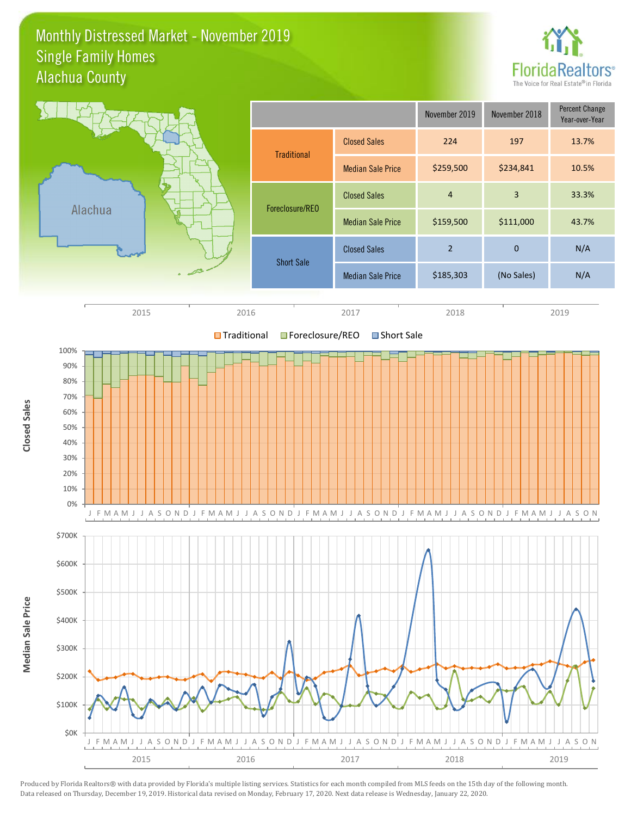#### Monthly Distressed Market - November 2019 Alachua County Single Family Homes



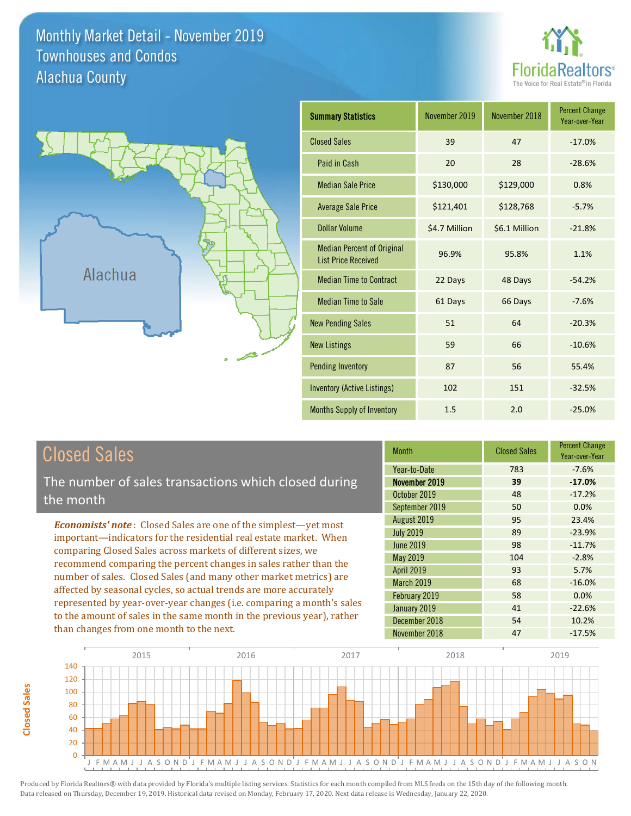Monthly Market Detail - November 2019 Alachua County Townhouses and Condos





| <b>Summary Statistics</b>                                       | November 2019 | November 2018 | <b>Percent Change</b><br>Year-over-Year |
|-----------------------------------------------------------------|---------------|---------------|-----------------------------------------|
| <b>Closed Sales</b>                                             | 39            | 47            | $-17.0%$                                |
| Paid in Cash                                                    | 20            | 28            | $-28.6%$                                |
| <b>Median Sale Price</b>                                        | \$130,000     | \$129,000     | 0.8%                                    |
| <b>Average Sale Price</b>                                       | \$121,401     | \$128,768     | $-5.7%$                                 |
| Dollar Volume                                                   | \$4.7 Million | \$6.1 Million | $-21.8%$                                |
| <b>Median Percent of Original</b><br><b>List Price Received</b> | 96.9%         | 95.8%         | 1.1%                                    |
| <b>Median Time to Contract</b>                                  | 22 Days       | 48 Days       | $-54.2%$                                |
| <b>Median Time to Sale</b>                                      | 61 Days       | 66 Days       | $-7.6%$                                 |
| <b>New Pending Sales</b>                                        | 51            | 64            | $-20.3%$                                |
| <b>New Listings</b>                                             | 59            | 66            | $-10.6%$                                |
| <b>Pending Inventory</b>                                        | 87            | 56            | 55.4%                                   |
| <b>Inventory (Active Listings)</b>                              | 102           | 151           | $-32.5%$                                |
| <b>Months Supply of Inventory</b>                               | 1.5           | 2.0           | $-25.0%$                                |

The number of sales transactions which closed during the month

*Economists' note* : Closed Sales are one of the simplest—yet most important—indicators for the residential real estate market. When comparing Closed Sales across markets of different sizes, we recommend comparing the percent changes in sales rather than the number of sales. Closed Sales (and many other market metrics) are affected by seasonal cycles, so actual trends are more accurately represented by year-over-year changes (i.e. comparing a month's sales to the amount of sales in the same month in the previous year), rather than changes from one month to the next.

| Month             | <b>Closed Sales</b> | <b>Percent Change</b><br>Year-over-Year |
|-------------------|---------------------|-----------------------------------------|
| Year-to-Date      | 783                 | $-7.6%$                                 |
| November 2019     | 39                  | $-17.0%$                                |
| October 2019      | 48                  | $-17.2%$                                |
| September 2019    | 50                  | 0.0%                                    |
| August 2019       | 95                  | 23.4%                                   |
| <b>July 2019</b>  | 89                  | $-23.9%$                                |
| <b>June 2019</b>  | 98                  | $-11.7%$                                |
| May 2019          | 104                 | $-2.8%$                                 |
| April 2019        | 93                  | 5.7%                                    |
| <b>March 2019</b> | 68                  | $-16.0%$                                |
| February 2019     | 58                  | 0.0%                                    |
| January 2019      | 41                  | $-22.6%$                                |
| December 2018     | 54                  | 10.2%                                   |
| November 2018     | 47                  | $-17.5%$                                |

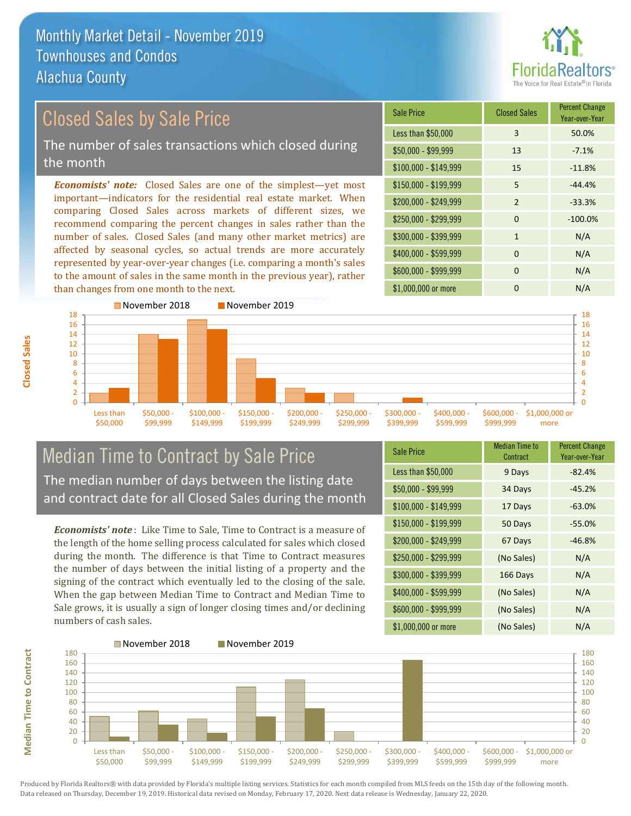

Year-over-Year

#### $$100,000 - $149,999$  15 -11.8% Sale Price Closed Sales Percent Change Less than \$50,000 3 3 50.0%  $$50,000 - $99,999$  13 -7.1% \$150,000 - \$199,999 5 -44.4%  $$200.000 - $249.999$  2 -33.3% *Economists' note:* Closed Sales are one of the simplest—yet most important—indicators for the residential real estate market. When comparing Closed Sales across markets of different sizes, we recommend comparing the percent changes in sales rather than the \$250,000 - \$299,999 0 -100.0%  $$300,000 - $399,999$  1 N/A Closed Sales by Sale Price The number of sales transactions which closed during the month

number of sales. Closed Sales (and many other market metrics) are affected by seasonal cycles, so actual trends are more accurately represented by year-over-year changes (i.e. comparing a month's sales to the amount of sales in the same month in the previous year), rather than changes from one month to the next.



### Median Time to Contract by Sale Price The median number of days between the listing date and contract date for all Closed Sales during the month

*Economists' note* : Like Time to Sale, Time to Contract is a measure of the length of the home selling process calculated for sales which closed during the month. The difference is that Time to Contract measures the number of days between the initial listing of a property and the signing of the contract which eventually led to the closing of the sale. When the gap between Median Time to Contract and Median Time to Sale grows, it is usually a sign of longer closing times and/or declining numbers of cash sales.

| <b>Sale Price</b>     | <b>Median Time to</b><br>Contract | <b>Percent Change</b><br>Year-over-Year |
|-----------------------|-----------------------------------|-----------------------------------------|
| Less than \$50,000    | 9 Days                            | $-82.4%$                                |
| $$50,000 - $99,999$   | 34 Days                           | $-45.2%$                                |
| \$100,000 - \$149,999 | 17 Days                           | $-63.0%$                                |
| $$150,000 - $199,999$ | 50 Days                           | $-55.0%$                                |
| \$200,000 - \$249,999 | 67 Days                           | $-46.8%$                                |
| \$250,000 - \$299,999 | (No Sales)                        | N/A                                     |
| \$300,000 - \$399,999 | 166 Days                          | N/A                                     |
| \$400,000 - \$599,999 | (No Sales)                        | N/A                                     |
| \$600,000 - \$999,999 | (No Sales)                        | N/A                                     |
| \$1,000,000 or more   | (No Sales)                        | N/A                                     |

 $$400,000 - $599,999$  0 N/A

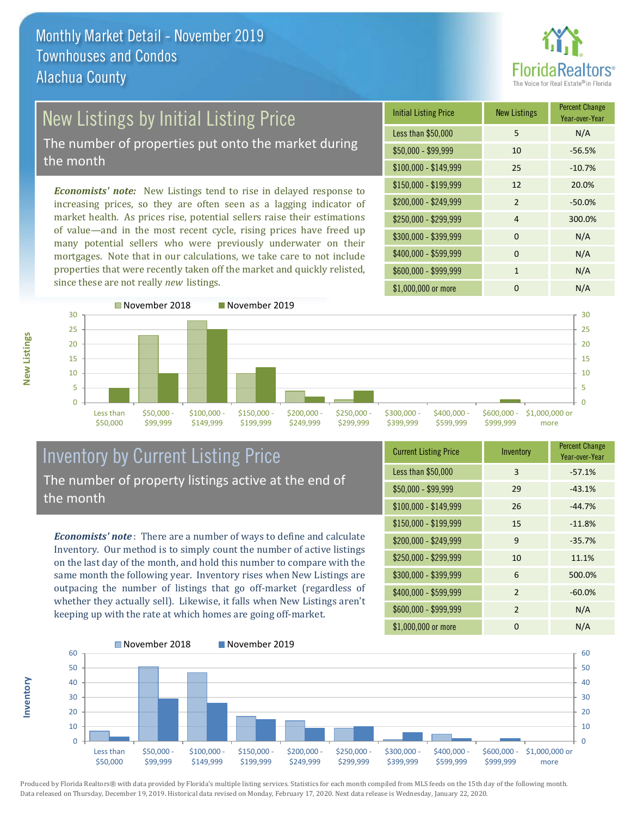

# **New Listings by Initial Listing Price**

The number of properties put onto the market during the month

*Economists' note:* New Listings tend to rise in delayed response to increasing prices, so they are often seen as a lagging indicator of market health. As prices rise, potential sellers raise their estimations of value—and in the most recent cycle, rising prices have freed up many potential sellers who were previously underwater on their mortgages. Note that in our calculations, we take care to not include properties that were recently taken off the market and quickly relisted, since these are not really *new* listings.

| <b>Initial Listing Price</b> | <b>New Listings</b> | <b>Percent Change</b><br>Year-over-Year |
|------------------------------|---------------------|-----------------------------------------|
| Less than \$50,000           | 5                   | N/A                                     |
| $$50,000 - $99,999$          | 10                  | $-56.5%$                                |
| $$100,000 - $149,999$        | 25                  | $-10.7%$                                |
| $$150,000 - $199,999$        | 12                  | 20.0%                                   |
| \$200,000 - \$249,999        | $\mathcal{P}$       | $-50.0%$                                |
| \$250,000 - \$299,999        | $\overline{4}$      | 300.0%                                  |
| \$300,000 - \$399,999        | $\Omega$            | N/A                                     |
| \$400,000 - \$599,999        | $\Omega$            | N/A                                     |
| \$600,000 - \$999,999        | 1                   | N/A                                     |
| \$1,000,000 or more          | n                   | N/A                                     |



### Inventory by Current Listing Price The number of property listings active at the end of the month

*Economists' note* : There are a number of ways to define and calculate Inventory. Our method is to simply count the number of active listings on the last day of the month, and hold this number to compare with the same month the following year. Inventory rises when New Listings are outpacing the number of listings that go off-market (regardless of whether they actually sell). Likewise, it falls when New Listings aren't keeping up with the rate at which homes are going off-market.

| <b>Current Listing Price</b> | Inventory      | <b>Percent Change</b><br>Year-over-Year |
|------------------------------|----------------|-----------------------------------------|
| Less than \$50,000           | 3              | $-57.1%$                                |
| $$50,000 - $99,999$          | 29             | $-43.1%$                                |
| $$100,000 - $149,999$        | 26             | $-44.7%$                                |
| $$150,000 - $199,999$        | 15             | $-11.8%$                                |
| \$200,000 - \$249,999        | 9              | $-35.7%$                                |
| \$250,000 - \$299,999        | 10             | 11.1%                                   |
| \$300,000 - \$399,999        | 6              | 500.0%                                  |
| \$400,000 - \$599,999        | $\overline{2}$ | $-60.0%$                                |
| \$600,000 - \$999,999        | $\overline{2}$ | N/A                                     |
| \$1,000,000 or more          | 0              | N/A                                     |



Produced by Florida Realtors® with data provided by Florida's multiple listing services. Statistics for each month compiled from MLS feeds on the 15th day of the following month. Data released on Thursday, December 19, 2019. Historical data revised on Monday, February 17, 2020. Next data release is Wednesday, January 22, 2020.

**Inventory**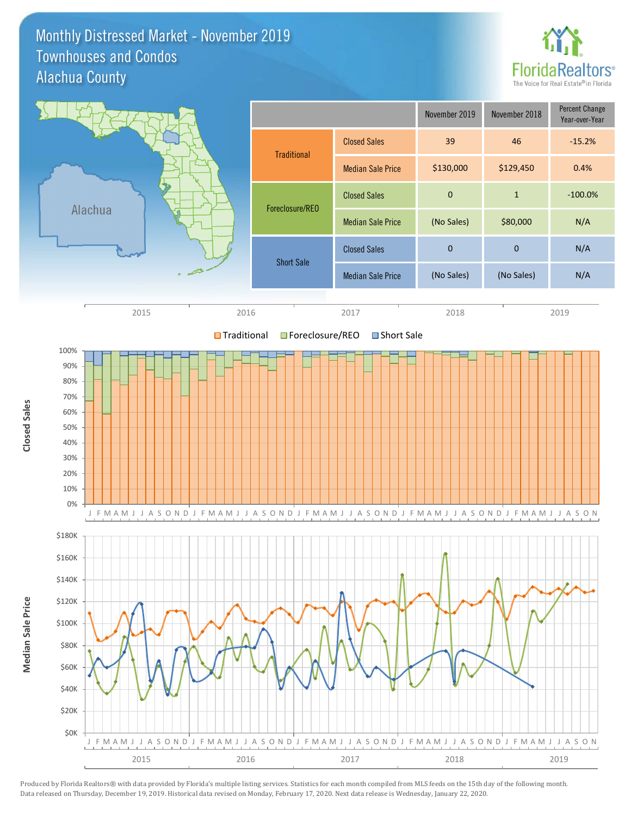#### Monthly Distressed Market - November 2019 Alachua County Townhouses and Condos



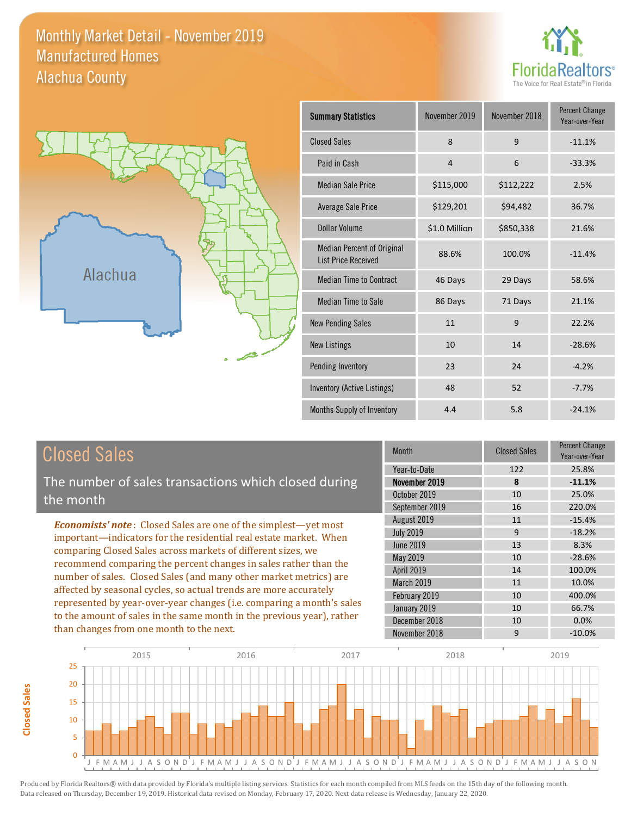#### Monthly Market Detail - November 2019 Alachua County Manufactured Homes





| <b>Summary Statistics</b>                                       | November 2019  | November 2018 | <b>Percent Change</b><br>Year-over-Year |
|-----------------------------------------------------------------|----------------|---------------|-----------------------------------------|
| <b>Closed Sales</b>                                             | $\mathsf{R}$   | 9             | $-11.1%$                                |
| Paid in Cash                                                    | $\overline{4}$ | 6             | $-33.3%$                                |
| <b>Median Sale Price</b>                                        | \$115,000      | \$112,222     | 2.5%                                    |
| <b>Average Sale Price</b>                                       | \$129,201      | \$94,482      | 36.7%                                   |
| Dollar Volume                                                   | \$1.0 Million  | \$850,338     | 21.6%                                   |
| <b>Median Percent of Original</b><br><b>List Price Received</b> | 88.6%          | 100.0%        | $-11.4%$                                |
| <b>Median Time to Contract</b>                                  | 46 Days        | 29 Days       | 58.6%                                   |
| <b>Median Time to Sale</b>                                      | 86 Days        | 71 Days       | 21.1%                                   |
| <b>New Pending Sales</b>                                        | 11             | 9             | 22.2%                                   |
| <b>New Listings</b>                                             | 10             | 14            | $-28.6%$                                |
| Pending Inventory                                               | 23             | 24            | $-4.2%$                                 |
| Inventory (Active Listings)                                     | 48             | 52            | $-7.7%$                                 |
| Months Supply of Inventory                                      | 4.4            | 5.8           | $-24.1%$                                |

| <b>Closed Sales</b> |
|---------------------|
|---------------------|

The number of sales transactions which closed during the month

*Economists' note* : Closed Sales are one of the simplest—yet most important—indicators for the residential real estate market. When comparing Closed Sales across markets of different sizes, we recommend comparing the percent changes in sales rather than the number of sales. Closed Sales (and many other market metrics) are affected by seasonal cycles, so actual trends are more accurately represented by year-over-year changes (i.e. comparing a month's sales to the amount of sales in the same month in the previous year), rather than changes from one month to the next.

| Month            | <b>Closed Sales</b> | <b>Percent Change</b><br>Year-over-Year |
|------------------|---------------------|-----------------------------------------|
| Year-to-Date     | 122                 | 25.8%                                   |
| November 2019    | 8                   | $-11.1%$                                |
| October 2019     | 10                  | 25.0%                                   |
| September 2019   | 16                  | 220.0%                                  |
| August 2019      | 11                  | $-15.4%$                                |
| <b>July 2019</b> | 9                   | $-18.2%$                                |
| <b>June 2019</b> | 13                  | 8.3%                                    |
| May 2019         | 10                  | $-28.6%$                                |
| April 2019       | 14                  | 100.0%                                  |
| March 2019       | 11                  | 10.0%                                   |
| February 2019    | 10                  | 400.0%                                  |
| January 2019     | 10                  | 66.7%                                   |
| December 2018    | 10                  | 0.0%                                    |
| November 2018    | 9                   | $-10.0%$                                |

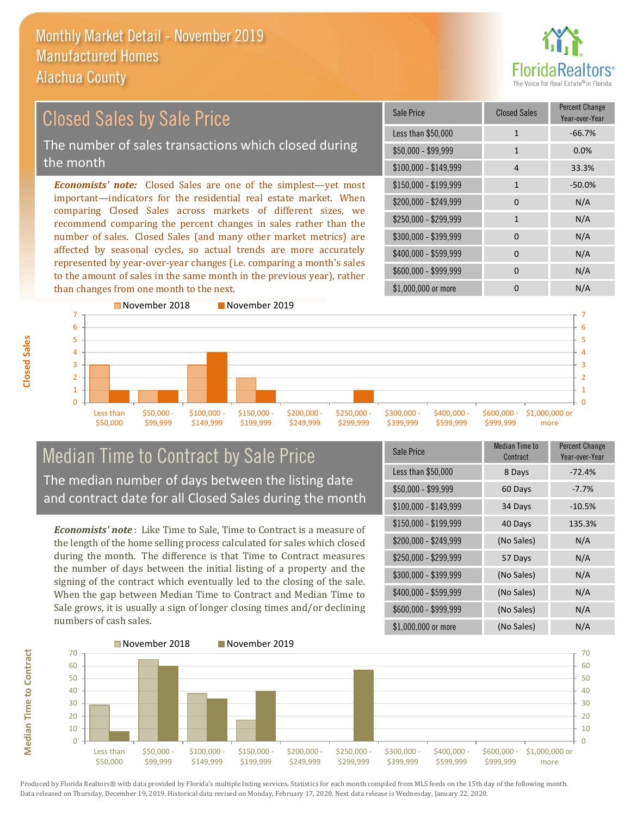

#### \$100,000 - \$149,999 4 33.3% Sale Price Closed Sales Percent Change Year-over-Year Less than \$50,000 1 1 -66.7% \$50,000 - \$99,999 1 0.0% \$150,000 - \$199,999 1 -50.0%  $$200,000 - $249,999$  0 N/A  $$400,000 - $599,999$  0 N/A \$600,000 - \$999,999 0 0 N/A *Economists' note:* Closed Sales are one of the simplest—yet most important—indicators for the residential real estate market. When comparing Closed Sales across markets of different sizes, we recommend comparing the percent changes in sales rather than the number of sales. Closed Sales (and many other market metrics) are affected by seasonal cycles, so actual trends are more accurately represented by year-over-year changes (i.e. comparing a month's sales to the amount of sales in the same month in the previous year), rather than changes from one month to the next. \$1,000,000 or more 0 0 N/A \$250,000 - \$299,999 1 1 N/A \$300,000 - \$399,999 0 0 N/A 6 7 November 2018 November 2019 5 6 7 Closed Sales by Sale Price The number of sales transactions which closed during the month

#### $\Omega$ 1 2 3 4 5 Less than \$50,000 \$50,000 - \$99,999 \$100,000 - \$149,999 \$150,000 - \$199,999 \$200,000 - \$249,999 \$250,000 - \$299,999 \$300,000 - \$399,999 \$400,000 - \$599,999 \$600,000 - \$999,999 \$1,000,000 or more

#### Median Time to Contract by Sale Price The median number of days between the listing date and contract date for all Closed Sales during the month

*Economists' note* : Like Time to Sale, Time to Contract is a measure of the length of the home selling process calculated for sales which closed during the month. The difference is that Time to Contract measures the number of days between the initial listing of a property and the signing of the contract which eventually led to the closing of the sale. When the gap between Median Time to Contract and Median Time to Sale grows, it is usually a sign of longer closing times and/or declining numbers of cash sales.

| Sale Price            | <b>Median Time to</b><br>Contract | <b>Percent Change</b><br>Year-over-Year |
|-----------------------|-----------------------------------|-----------------------------------------|
| Less than \$50,000    | 8 Days                            | $-72.4%$                                |
| $$50,000 - $99,999$   | 60 Days                           | $-7.7%$                                 |
| $$100,000 - $149,999$ | 34 Days                           | $-10.5%$                                |
| $$150,000 - $199,999$ | 40 Days                           | 135.3%                                  |
| \$200,000 - \$249,999 | (No Sales)                        | N/A                                     |
| \$250,000 - \$299,999 | 57 Days                           | N/A                                     |
| \$300,000 - \$399,999 | (No Sales)                        | N/A                                     |
| \$400,000 - \$599,999 | (No Sales)                        | N/A                                     |
| \$600,000 - \$999,999 | (No Sales)                        | N/A                                     |
| \$1,000,000 or more   | (No Sales)                        | N/A                                     |

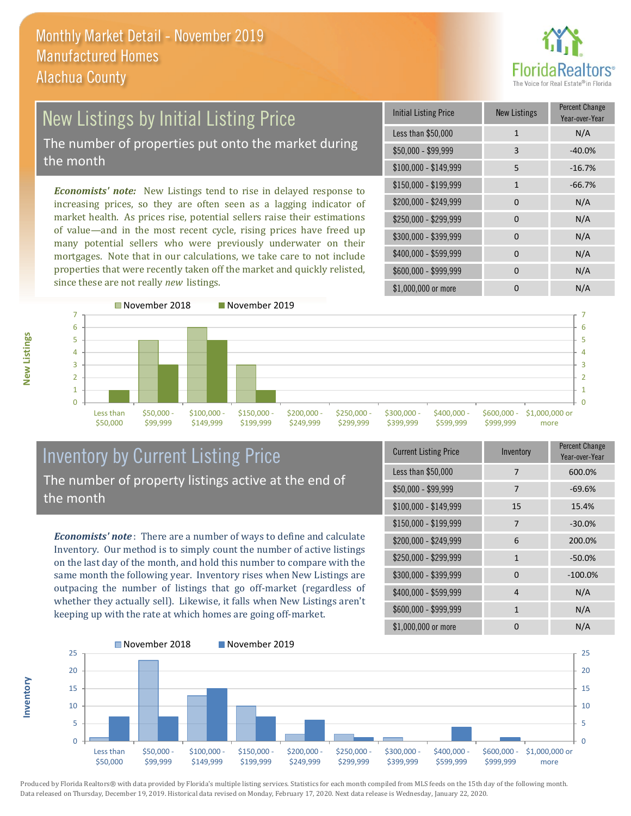

### New Listings by Initial Listing Price The number of properties put onto the market during the month

*Economists' note:* New Listings tend to rise in delayed response to increasing prices, so they are often seen as a lagging indicator of market health. As prices rise, potential sellers raise their estimations of value—and in the most recent cycle, rising prices have freed up many potential sellers who were previously underwater on their mortgages. Note that in our calculations, we take care to not include properties that were recently taken off the market and quickly relisted, since these are not really *new* listings.

| <b>Initial Listing Price</b> | <b>New Listings</b> | <b>Percent Change</b><br>Year-over-Year |
|------------------------------|---------------------|-----------------------------------------|
| Less than \$50,000           | 1                   | N/A                                     |
| $$50,000 - $99,999$          | 3                   | $-40.0%$                                |
| $$100,000 - $149,999$        | 5                   | $-16.7%$                                |
| $$150,000 - $199,999$        | $\mathbf{1}$        | $-66.7%$                                |
| \$200,000 - \$249,999        | 0                   | N/A                                     |
| \$250,000 - \$299,999        | $\Omega$            | N/A                                     |
| \$300,000 - \$399,999        | 0                   | N/A                                     |
| \$400,000 - \$599,999        | 0                   | N/A                                     |
| \$600,000 - \$999,999        | 0                   | N/A                                     |
| \$1,000,000 or more          | O                   | N/A                                     |



#### Inventory by Current Listing Price The number of property listings active at the end of the month

*Economists' note* : There are a number of ways to define and calculate Inventory. Our method is to simply count the number of active listings on the last day of the month, and hold this number to compare with the same month the following year. Inventory rises when New Listings are outpacing the number of listings that go off-market (regardless of whether they actually sell). Likewise, it falls when New Listings aren't keeping up with the rate at which homes are going off-market.

| <b>Current Listing Price</b> | Inventory    | Percent Change<br>Year-over-Year |
|------------------------------|--------------|----------------------------------|
| Less than \$50,000           | 7            | 600.0%                           |
| $$50,000 - $99,999$          | 7            | $-69.6%$                         |
| $$100,000 - $149,999$        | 15           | 15.4%                            |
| $$150,000 - $199,999$        | 7            | $-30.0%$                         |
| \$200,000 - \$249,999        | 6            | 200.0%                           |
| \$250,000 - \$299,999        | $\mathbf{1}$ | $-50.0%$                         |
| \$300,000 - \$399,999        | $\Omega$     | $-100.0%$                        |
| \$400,000 - \$599,999        | 4            | N/A                              |
| \$600,000 - \$999,999        | $\mathbf{1}$ | N/A                              |
| \$1,000,000 or more          | ŋ            | N/A                              |



Produced by Florida Realtors® with data provided by Florida's multiple listing services. Statistics for each month compiled from MLS feeds on the 15th day of the following month. Data released on Thursday, December 19, 2019. Historical data revised on Monday, February 17, 2020. Next data release is Wednesday, January 22, 2020.

**Inventory**